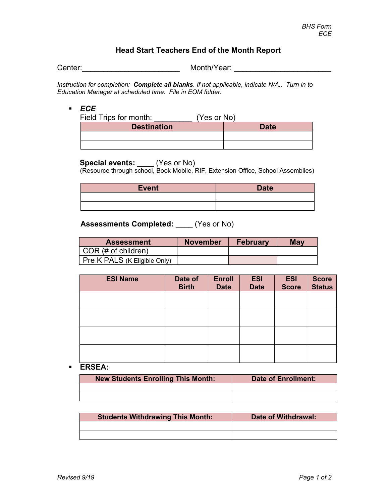## **Head Start Teachers End of the Month Report**

Center:\_\_\_\_\_\_\_\_\_\_\_\_\_\_\_\_\_\_\_\_\_\_\_ Month/Year: \_\_\_\_\_\_\_\_\_\_\_\_\_\_\_\_\_\_\_\_\_\_\_

*Instruction for completion: Complete all blanks. If not applicable, indicate N/A.. Turn in to Education Manager at scheduled time. File in EOM folder.*

### *ECE*

| Field Trips for month: | (Yes or No) |  |
|------------------------|-------------|--|
| <b>Destination</b>     | Date        |  |
|                        |             |  |
|                        |             |  |

**Special events:** \_\_\_\_ (Yes or No)<br>(Resource through school, Book Mobile, RIF, Extension Office, School Assemblies)

| <b>Event</b> | <b>Date</b> |
|--------------|-------------|
|              |             |
|              |             |

## **Assessments Completed:** \_\_\_\_ (Yes or No)

| <b>Assessment</b>                   | <b>November</b> | <b>February</b> | May |
|-------------------------------------|-----------------|-----------------|-----|
| $\vert$ COR (# of children)         |                 |                 |     |
| <b>Pre K PALS (K Eligible Only)</b> |                 |                 |     |

| <b>ESI Name</b> | Date of<br><b>Birth</b> | <b>Enroll</b><br><b>Date</b> | <b>ESI</b><br><b>Date</b> | <b>ESI</b><br><b>Score</b> | Score<br>Status |
|-----------------|-------------------------|------------------------------|---------------------------|----------------------------|-----------------|
|                 |                         |                              |                           |                            |                 |
|                 |                         |                              |                           |                            |                 |
|                 |                         |                              |                           |                            |                 |
|                 |                         |                              |                           |                            |                 |

#### **ERSEA:**

| <b>New Students Enrolling This Month:</b> | <b>Date of Enrollment:</b> |
|-------------------------------------------|----------------------------|
|                                           |                            |
|                                           |                            |

| <b>Students Withdrawing This Month:</b> | Date of Withdrawal: |
|-----------------------------------------|---------------------|
|                                         |                     |
|                                         |                     |